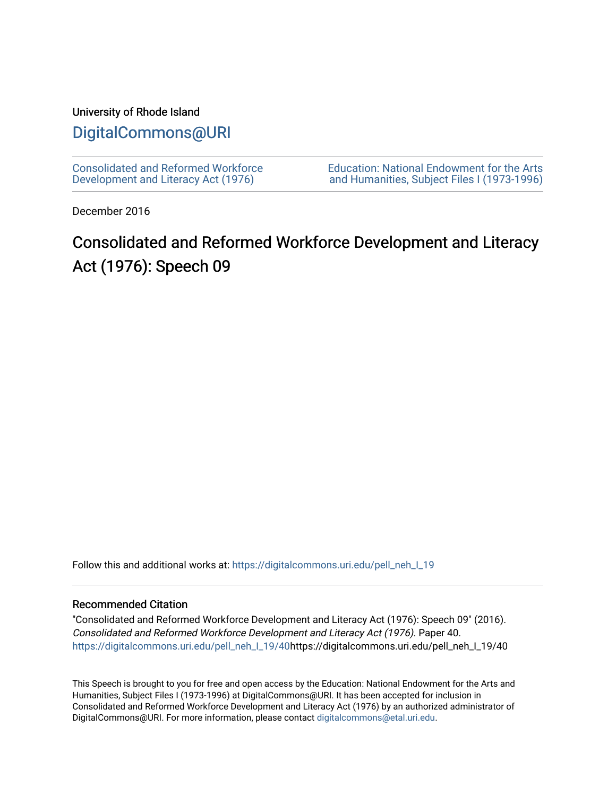### University of Rhode Island

# [DigitalCommons@URI](https://digitalcommons.uri.edu/)

[Consolidated and Reformed Workforce](https://digitalcommons.uri.edu/pell_neh_I_19)  [Development and Literacy Act \(1976\)](https://digitalcommons.uri.edu/pell_neh_I_19) 

[Education: National Endowment for the Arts](https://digitalcommons.uri.edu/pell_neh_I)  [and Humanities, Subject Files I \(1973-1996\)](https://digitalcommons.uri.edu/pell_neh_I) 

December 2016

# Consolidated and Reformed Workforce Development and Literacy Act (1976): Speech 09

Follow this and additional works at: https://digitalcommons.uri.edu/pell\_neh\_I\_19

### Recommended Citation

"Consolidated and Reformed Workforce Development and Literacy Act (1976): Speech 09" (2016). Consolidated and Reformed Workforce Development and Literacy Act (1976). Paper 40. [https://digitalcommons.uri.edu/pell\\_neh\\_I\\_19/40h](https://digitalcommons.uri.edu/pell_neh_I_19/40?utm_source=digitalcommons.uri.edu%2Fpell_neh_I_19%2F40&utm_medium=PDF&utm_campaign=PDFCoverPages)ttps://digitalcommons.uri.edu/pell\_neh\_I\_19/40

This Speech is brought to you for free and open access by the Education: National Endowment for the Arts and Humanities, Subject Files I (1973-1996) at DigitalCommons@URI. It has been accepted for inclusion in Consolidated and Reformed Workforce Development and Literacy Act (1976) by an authorized administrator of DigitalCommons@URI. For more information, please contact [digitalcommons@etal.uri.edu.](mailto:digitalcommons@etal.uri.edu)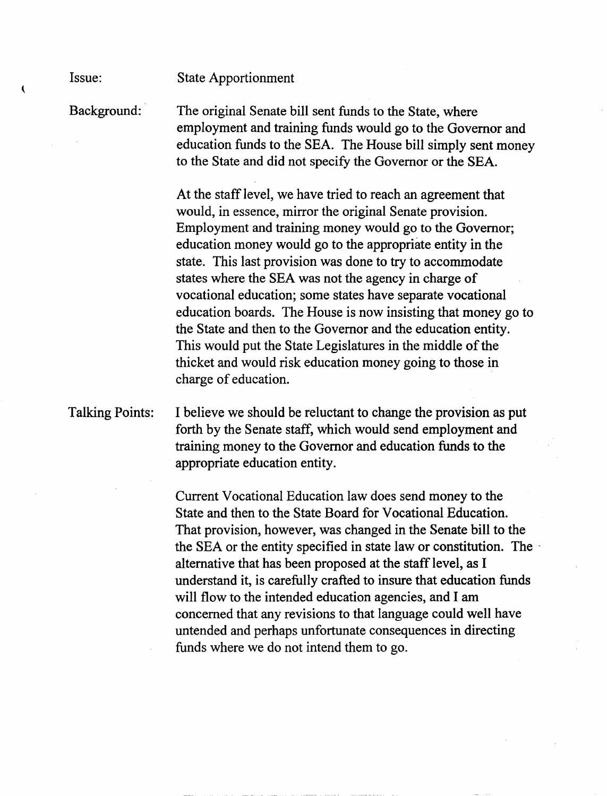State Apportionment

Background: The original Senate bill sent funds to the State, where employment and training funds would go to the Governor and education funds to the SEA. The House bill simply sent money to the State and did not specify the Governor or the SEA.

> At the staff level, we have tried to reach an agreement that would, in essence, mirror the original Senate provision. Employment and training money would go to the Governor; education money would go to the appropriate entity in the state. This last provision was done to try to accommodate states where the SEA was not the agency in charge of vocational education; some states have separate vocational education boards. The House is now insisting that money go to the State and then to the Governor and the education entity. This would put the State Legislatures in the middle of the thicket and would risk education money going to those in charge of education.

Talking Points: I believe we should be reluctant to change the provision as put forth by the Senate staff, which would send employment and training money to the Governor and education funds to the appropriate education entity.

> Current Vocational Education law does send money to the State and then to the State Board for Vocational Education. That provision, however, was changed in the Senate bill to the the SEA or the entity specified in state law or constitution. The alternative that has been proposed at the staff level, as I understand it, is carefully crafted to insure that education funds will flow to the intended education agencies, and I am concerned that any revisions to that language could well have untended and perhaps unfortunate consequences in directing funds where we do not intend them to go.

Issue:

 $\overline{\mathbf{C}}$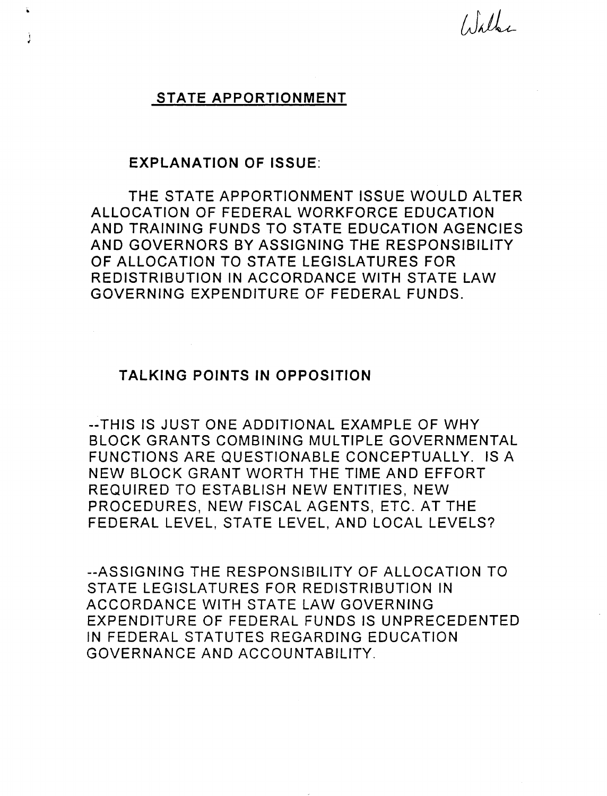$\int_{\mathbb{R}}\int_{\mathbb{R}}\iint_{\mathbb{R}}$ 

## STATE APPORTIONMENT

### EXPLANATION OF ISSUE:

¥.

Ì

THE STATE APPORTIONMENT ISSUE WOULD ALTER ALLOCATION OF FEDERAL WORKFORCE EDUCATION AND TRAINING FUNDS TO STATE EDUCATION AGENCIES AND GOVERNORS BY ASSIGNING THE RESPONSIBILITY OF ALLOCATION TO STATE LEGISLATURES FOR REDISTRIBUTION IN ACCORDANCE WITH STATE LAW GOVERNING EXPENDITURE OF FEDERAL FUNDS.

## TALKING POINTS IN OPPOSITION

--THIS IS JUST ONE ADDITIONAL EXAMPLE OF WHY BLOCK GRANTS COMBINING MULTIPLE GOVERNMENTAL FUNCTIONS ARE QUESTIONABLE CONCEPTUALLY. IS A NEW BLOCK GRANT WORTH THE TIME AND EFFORT REQUIRED TO ESTABLISH NEW ENTITIES, NEW PROCEDURES, NEW FISCAL AGENTS, ETC. AT THE FEDERAL LEVEL, STATE LEVEL, AND LOCAL LEVELS?

--ASSIGNING THE RESPONSIBILITY OF ALLOCATION TO STATE LEGISLATURES FOR REDISTRIBUTION IN ACCORDANCE WITH STATE LAW GOVERNING EXPENDITURE OF FEDERAL FUNDS IS UNPRECEDENTED IN FEDERAL STATUTES REGARDING EDUCATION GOVERNANCE AND ACCOUNTABILITY.